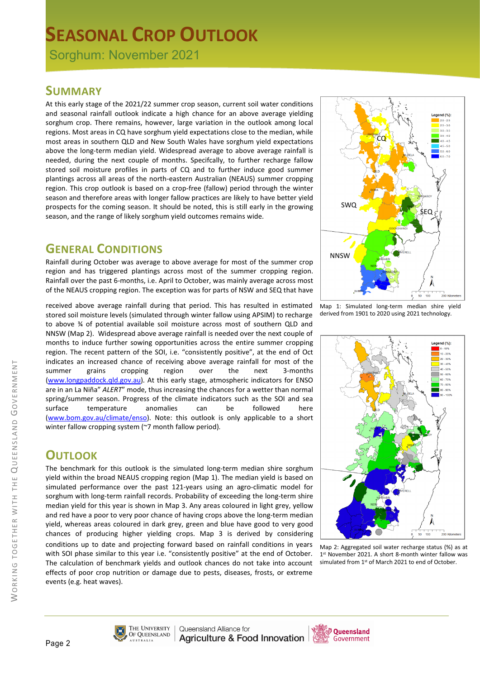# **SEASONAL CROP OUTLOOK**

Sorghum: November 2021

#### **SUMMARY**

At this early stage of the 2021/22 summer crop season, current soil water conditions and seasonal rainfall outlook indicate a high chance for an above average yielding sorghum crop. There remains, however, large variation in the outlook among local regions. Most areas in CQ have sorghum yield expectations close to the median, while most areas in southern QLD and New South Wales have sorghum yield expectations above the long-term median yield. Widespread average to above average rainfall is needed, during the next couple of months. Specifcally, to further recharge fallow stored soil moisture profiles in parts of CQ and to further induce good summer plantings across all areas of the north-eastern Australian (NEAUS) summer cropping region. This crop outlook is based on a crop-free (fallow) period through the winter season and therefore areas with longer fallow practices are likely to have better yield prospects for the coming season. It should be noted, this is still early in the growing season, and the range of likely sorghum yield outcomes remains wide.

## **GENERAL CONDITIONS**

Rainfall during October was average to above average for most of the summer crop region and has triggered plantings across most of the summer cropping region. Rainfall over the past 6-months, i.e. April to October, was mainly average across most of the NEAUS cropping region. The exception was for parts of NSW and SEQ that have

received above average rainfall during that period. This has resulted in estimated stored soil moisture levels (simulated through winter fallow using APSIM) to recharge to above ¾ of potential available soil moisture across most of southern QLD and NNSW (Map 2). Widespread above average rainfall is needed over the next couple of months to induce further sowing opportunities across the entire summer cropping region. The recent pattern of the SOI, i.e. "consistently positive", at the end of Oct indicates an increased chance of receiving above average rainfall for most of the summer grains cropping region over the next 3-months [\(www.longpaddock.qld.gov.au\)](http://www.longpaddock.qld.gov.au/). At this early stage, atmospheric indicators for ENSO are in an La Niña" *ALERT*" mode, thus increasing the chances for a wetter than normal spring/summer season. Progress of the climate indicators such as the SOI and sea surface temperature anomalies can be followed here [\(www.bom.gov.au/climate/enso\)](http://www.bom.gov.au/climate/enso). Note: this outlook is only applicable to a short winter fallow cropping system (~7 month fallow period)*.*

## **OUTLOOK**

The benchmark for this outlook is the simulated long-term median shire sorghum yield within the broad NEAUS cropping region (Map 1). The median yield is based on simulated performance over the past 121-years using an agro-climatic model for sorghum with long-term rainfall records. Probability of exceeding the long-term shire median yield for this year is shown in Map 3. Any areas coloured in light grey, yellow and red have a poor to very poor chance of having crops above the long-term median yield, whereas areas coloured in dark grey, green and blue have good to very good chances of producing higher yielding crops. Map 3 is derived by considering conditions up to date and projecting forward based on rainfall conditions in years with SOI phase similar to this year i.e. "consistently positive" at the end of October. The calculation of benchmark yields and outlook chances do not take into account effects of poor crop nutrition or damage due to pests, diseases, frosts, or extreme events (e.g. heat waves).



Map 1: Simulated long-term median shire yield derived from 1901 to 2020 using 2021 technology.



Map 2: Aggregated soil water recharge status (%) as at 1st November 2021. A short 8-month winter fallow was simulated from 1<sup>st</sup> of March 2021 to end of October.